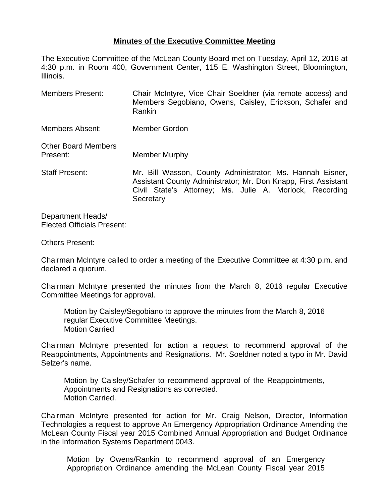## **Minutes of the Executive Committee Meeting**

The Executive Committee of the McLean County Board met on Tuesday, April 12, 2016 at 4:30 p.m. in Room 400, Government Center, 115 E. Washington Street, Bloomington, Illinois.

Members Present: Chair McIntyre, Vice Chair Soeldner (via remote access) and Members Segobiano, Owens, Caisley, Erickson, Schafer and Rankin Members Absent: Member Gordon Other Board Members Present: Member Murphy Staff Present: Mr. Bill Wasson, County Administrator; Ms. Hannah Eisner, Assistant County Administrator; Mr. Don Knapp, First Assistant Civil State's Attorney; Ms. Julie A. Morlock, Recording **Secretary** 

Department Heads/ Elected Officials Present:

Others Present:

Chairman McIntyre called to order a meeting of the Executive Committee at 4:30 p.m. and declared a quorum.

Chairman McIntyre presented the minutes from the March 8, 2016 regular Executive Committee Meetings for approval.

Motion by Caisley/Segobiano to approve the minutes from the March 8, 2016 regular Executive Committee Meetings. Motion Carried

Chairman McIntyre presented for action a request to recommend approval of the Reappointments, Appointments and Resignations. Mr. Soeldner noted a typo in Mr. David Selzer's name.

Motion by Caisley/Schafer to recommend approval of the Reappointments, Appointments and Resignations as corrected. Motion Carried.

Chairman McIntyre presented for action for Mr. Craig Nelson, Director, Information Technologies a request to approve An Emergency Appropriation Ordinance Amending the McLean County Fiscal year 2015 Combined Annual Appropriation and Budget Ordinance in the Information Systems Department 0043.

Motion by Owens/Rankin to recommend approval of an Emergency Appropriation Ordinance amending the McLean County Fiscal year 2015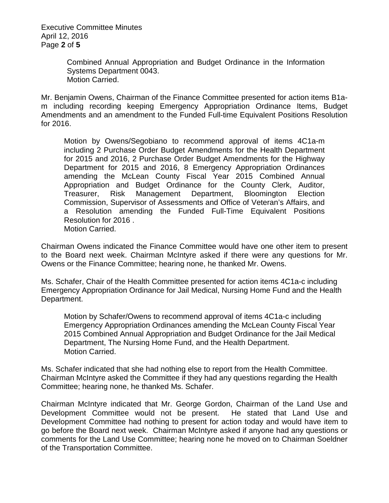Executive Committee Minutes April 12, 2016 Page **2** of **5**

> Combined Annual Appropriation and Budget Ordinance in the Information Systems Department 0043. Motion Carried.

Mr. Benjamin Owens, Chairman of the Finance Committee presented for action items B1am including recording keeping Emergency Appropriation Ordinance Items, Budget Amendments and an amendment to the Funded Full-time Equivalent Positions Resolution for 2016.

Motion by Owens/Segobiano to recommend approval of items 4C1a-m including 2 Purchase Order Budget Amendments for the Health Department for 2015 and 2016, 2 Purchase Order Budget Amendments for the Highway Department for 2015 and 2016, 8 Emergency Appropriation Ordinances amending the McLean County Fiscal Year 2015 Combined Annual Appropriation and Budget Ordinance for the County Clerk, Auditor, Treasurer, Risk Management Department, Bloomington Election Commission, Supervisor of Assessments and Office of Veteran's Affairs, and a Resolution amending the Funded Full-Time Equivalent Positions Resolution for 2016 . Motion Carried.

Chairman Owens indicated the Finance Committee would have one other item to present to the Board next week. Chairman McIntyre asked if there were any questions for Mr. Owens or the Finance Committee; hearing none, he thanked Mr. Owens.

Ms. Schafer, Chair of the Health Committee presented for action items 4C1a-c including Emergency Appropriation Ordinance for Jail Medical, Nursing Home Fund and the Health Department.

Motion by Schafer/Owens to recommend approval of items 4C1a-c including Emergency Appropriation Ordinances amending the McLean County Fiscal Year 2015 Combined Annual Appropriation and Budget Ordinance for the Jail Medical Department, The Nursing Home Fund, and the Health Department. Motion Carried.

Ms. Schafer indicated that she had nothing else to report from the Health Committee. Chairman McIntyre asked the Committee if they had any questions regarding the Health Committee; hearing none, he thanked Ms. Schafer.

Chairman McIntyre indicated that Mr. George Gordon, Chairman of the Land Use and Development Committee would not be present. He stated that Land Use and Development Committee had nothing to present for action today and would have item to go before the Board next week. Chairman McIntyre asked if anyone had any questions or comments for the Land Use Committee; hearing none he moved on to Chairman Soeldner of the Transportation Committee.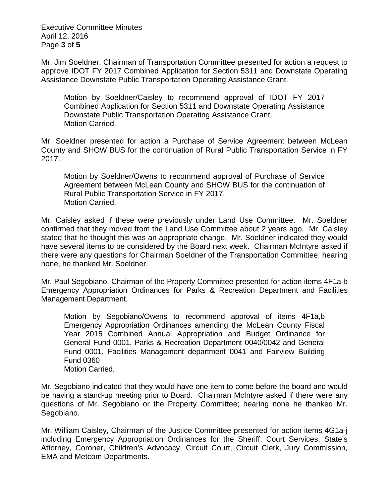Executive Committee Minutes April 12, 2016 Page **3** of **5**

Mr. Jim Soeldner, Chairman of Transportation Committee presented for action a request to approve IDOT FY 2017 Combined Application for Section 5311 and Downstate Operating Assistance Downstate Public Transportation Operating Assistance Grant.

Motion by Soeldner/Caisley to recommend approval of IDOT FY 2017 Combined Application for Section 5311 and Downstate Operating Assistance Downstate Public Transportation Operating Assistance Grant. Motion Carried.

Mr. Soeldner presented for action a Purchase of Service Agreement between McLean County and SHOW BUS for the continuation of Rural Public Transportation Service in FY 2017.

Motion by Soeldner/Owens to recommend approval of Purchase of Service Agreement between McLean County and SHOW BUS for the continuation of Rural Public Transportation Service in FY 2017. Motion Carried.

Mr. Caisley asked if these were previously under Land Use Committee. Mr. Soeldner confirmed that they moved from the Land Use Committee about 2 years ago. Mr. Caisley stated that he thought this was an appropriate change. Mr. Soeldner indicated they would have several items to be considered by the Board next week. Chairman McIntyre asked if there were any questions for Chairman Soeldner of the Transportation Committee; hearing none, he thanked Mr. Soeldner.

Mr. Paul Segobiano, Chairman of the Property Committee presented for action items 4F1a-b Emergency Appropriation Ordinances for Parks & Recreation Department and Facilities Management Department.

Motion by Segobiano/Owens to recommend approval of items 4F1a,b Emergency Appropriation Ordinances amending the McLean County Fiscal Year 2015 Combined Annual Appropriation and Budget Ordinance for General Fund 0001, Parks & Recreation Department 0040/0042 and General Fund 0001, Facilities Management department 0041 and Fairview Building Fund 0360 Motion Carried.

Mr. Segobiano indicated that they would have one item to come before the board and would be having a stand-up meeting prior to Board. Chairman McIntyre asked if there were any questions of Mr. Segobiano or the Property Committee; hearing none he thanked Mr. Segobiano.

Mr. William Caisley, Chairman of the Justice Committee presented for action items 4G1a-j including Emergency Appropriation Ordinances for the Sheriff, Court Services, State's Attorney, Coroner, Children's Advocacy, Circuit Court, Circuit Clerk, Jury Commission, EMA and Metcom Departments.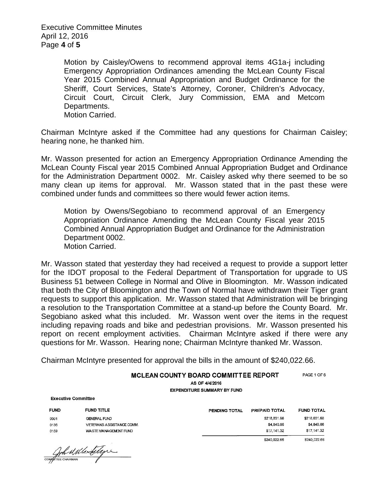Executive Committee Minutes April 12, 2016 Page **4** of **5**

> Motion by Caisley/Owens to recommend approval items 4G1a-j including Emergency Appropriation Ordinances amending the McLean County Fiscal Year 2015 Combined Annual Appropriation and Budget Ordinance for the Sheriff, Court Services, State's Attorney, Coroner, Children's Advocacy, Circuit Court, Circuit Clerk, Jury Commission, EMA and Metcom Departments. Motion Carried.

Chairman McIntyre asked if the Committee had any questions for Chairman Caisley; hearing none, he thanked him.

Mr. Wasson presented for action an Emergency Appropriation Ordinance Amending the McLean County Fiscal year 2015 Combined Annual Appropriation Budget and Ordinance for the Administration Department 0002. Mr. Caisley asked why there seemed to be so many clean up items for approval. Mr. Wasson stated that in the past these were combined under funds and committees so there would fewer action items.

Motion by Owens/Segobiano to recommend approval of an Emergency Appropriation Ordinance Amending the McLean County Fiscal year 2015 Combined Annual Appropriation Budget and Ordinance for the Administration Department 0002. Motion Carried.

Mr. Wasson stated that yesterday they had received a request to provide a support letter for the IDOT proposal to the Federal Department of Transportation for upgrade to US Business 51 between College in Normal and Olive in Bloomington. Mr. Wasson indicated that both the City of Bloomington and the Town of Normal have withdrawn their Tiger grant requests to support this application. Mr. Wasson stated that Administration will be bringing a resolution to the Transportation Committee at a stand-up before the County Board. Mr. Segobiano asked what this included. Mr. Wasson went over the items in the request including repaving roads and bike and pedestrian provisions. Mr. Wasson presented his report on recent employment activities. Chairman McIntyre asked if there were any questions for Mr. Wasson. Hearing none; Chairman McIntyre thanked Mr. Wasson.

Chairman McIntyre presented for approval the bills in the amount of \$240,022.66.

## PAGE 1 OF 6 MCLEAN COUNTY BOARD COMMITTEE REPORT

AS OF 4/4/2016 **EXPENDITURE SUMMARY BY FUND** 

**Executive Committee** 

| <b>FUND</b> | <b>FUND TITLE</b>         |
|-------------|---------------------------|
| nno 1       | <b>GENERAL FUND</b>       |
| 0136        | VETERANS ASSISTANCE COMM. |
| 0159        | WASTE MANAGEMENT FUND     |

Contra al Merditagne

| PENDING TOTAL | PREPAID TOTAL | <b>FUND TOTAL</b> |
|---------------|---------------|-------------------|
|               | \$218,031.68  | \$218,031.68      |
|               | \$4,849.66    | \$4,849.66        |
|               | \$17.141.32   | \$17,141.32       |
|               | \$240,022.66  | \$240,022.66      |